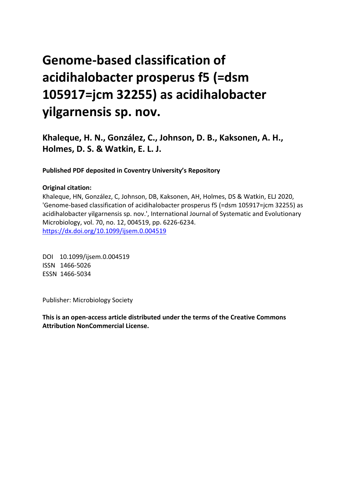# **Genome-based classification of acidihalobacter prosperus f5 (=dsm 105917=jcm 32255) as acidihalobacter yilgarnensis sp. nov.**

**Khaleque, H. N., González, C., Johnson, D. B., Kaksonen, A. H., Holmes, D. S. & Watkin, E. L. J.**

**Published PDF deposited in Coventry University's Repository** 

#### **Original citation:**

Khaleque, HN, González, C, Johnson, DB, Kaksonen, AH, Holmes, DS & Watkin, ELJ 2020, 'Genome-based classification of acidihalobacter prosperus f5 (=dsm 105917=jcm 32255) as acidihalobacter yilgarnensis sp. nov.', International Journal of Systematic and Evolutionary Microbiology, vol. 70, no. 12, 004519, pp. 6226-6234. https://dx.doi.org/10.1099/ijsem.0.004519

DOI 10.1099/ijsem.0.004519 ISSN 1466-5026 ESSN 1466-5034

Publisher: Microbiology Society

**This is an open-access article distributed under the terms of the Creative Commons Attribution NonCommercial License.**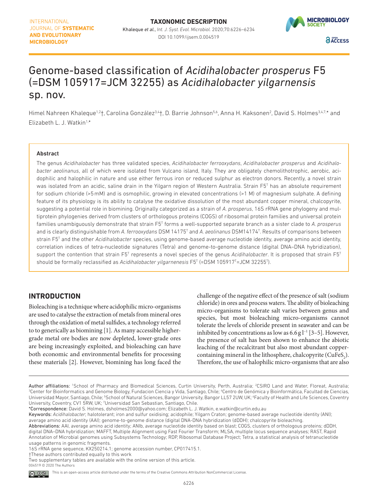#### INTERNATIONAL JOURNAL OF SYSTEMATIC **AND EVOLUTIONARY MICROBIOLOGY**



# Genome-based classification of *Acidihalobacter prosperus* F5 (=DSM 105917=JCM 32255) as *Acidihalobacter yilgarnensis* sp. nov.

Himel Nahreen Khaleque<sup>1,2</sup>†, Carolina González<sup>3,4</sup>†, D. Barrie Johnson<sup>5,6</sup>, Anna H. Kaksonen<sup>2</sup>, David S. Holmes<sup>3,4,7,</sup>\* and Elizabeth L. J. Watkin<sup>1,\*</sup>

#### Abstract

The genus *[Acidihalobacter](http://doi.org/10.1601/nm.27501)* has three validated species, *[Acidihalobacter ferrooxydans](http://doi.org/10.1601/nm.34444)*, *[Acidihalobacter prosperus](http://doi.org/10.1601/nm.27502)* and *[Acidihalo](http://doi.org/10.1601/nm.27501)[bacter](http://doi.org/10.1601/nm.27501) aeolinanus*, all of which were isolated from Vulcano island, Italy. They are obligately chemolithotrophic, aerobic, acidophilic and halophilic in nature and use either ferrous iron or reduced sulphur as electron donors. Recently, a novel strain was isolated from an acidic, saline drain in the Yilgarn region of Western Australia. Strain F5T has an absolute requirement for sodium chloride (>5mM) and is osmophilic, growing in elevated concentrations (>1 M) of magnesium sulphate. A defining feature of its physiology is its ability to catalyse the oxidative dissolution of the most abundant copper mineral, chalcopyrite, suggesting a potential role in biomining. Originally categorized as a strain of *[A. prosperus](http://doi.org/10.1601/nm.27502)*, 16S rRNA gene phylogeny and multiprotein phylogenies derived from clusters of orthologous proteins (COGS) of ribosomal protein families and universal protein families unambiguously demonstrate that strain F5T forms a well-supported separate branch as a sister clade to *[A. prosperus](http://doi.org/10.1601/nm.27502)* and is clearly distinguishable from [A. ferrooxydans](http://doi.org/10.1601/nm.34444) DSM 14175<sup>T</sup> and A. aeolinanus DSM14174<sup>T</sup>. Results of comparisons between strain F5T and the other *[Acidihalobacter](http://doi.org/10.1601/nm.27501)* species, using genome-based average nucleotide identity, average amino acid identity, correlation indices of tetra-nucleotide signatures (Tetra) and genome-to-genome distance (digital DNA–DNA hybridization), support the contention that strain F5<sup>T</sup> represents a novel species of the genus *[Acidihalobacter](http://doi.org/10.1601/nm.27501)*. It is proposed that strain F5<sup>T</sup> should be formally reclassified as *[Acidihalobacter](http://doi.org/10.1601/nm.27501) yilgarnenesis* F5T (=DSM 105917T =JCM 32255T ).

### **INTRODUCTION**

Bioleaching is a technique where acidophilic micro-organisms are used to catalyse the extraction of metals from mineral ores through the oxidation of metal sulfides, a technology referred to to generically as biomining [[1](#page-8-0)]. As many accessible highergrade metal ore bodies are now depleted, lower-grade ores are being increasingly exploited, and bioleaching can have both economic and environmental benefits for processing these materials [\[2\]](#page-8-1). However, biomining has long faced the

challenge of the negative effect of the presence of salt (sodium chloride) in ores and process waters. The ability of bioleaching micro-organisms to tolerate salt varies between genus and species, but most bioleaching micro-organisms cannot tolerate the levels of chloride present in seawater and can be inhibited by concentrations as low as  $6.6$  g  $l<sup>-1</sup>$  [\[3–5\]](#page-8-2). However, the presence of salt has been shown to enhance the abiotic leaching of the recalcitrant but also most abundant coppercontaining mineral in the lithosphere, chalcopyrite  $(CuFeS<sub>2</sub>)$ . Therefore, the use of halophilic micro-organisms that are also

Author affiliations: "School of Pharmacy and Biomedical Sciences, Curtin University, Perth, Australia; <sup>2</sup>CSIRO Land and Water, Floreat, Australia;<br><sup>3</sup>Center for Bioinformatics and Genome Biology Fundacion Ciencia y Vida. Center for Bioinformatics and Genome Biology, Fundacion Ciencia y Vida, Santiago, Chile; "Centro de Genómica y Bioinformática, Facultad de Ciencias, Universidad Mayor, Santiago, Chile; 5School of Natural Sciences, Bangor University, Bangor LL57 2UW, UK; 6Faculty of Health and Life Sciences, Coventry University, Coventry, CV1 5RW, UK; <sup>7</sup>Universidad San Sebastian, Santiago, Chile.

<sup>\*</sup>Correspondence: David S. Holmes, dsholmes2000@yahoo.com; Elizabeth L. J. Watkin, e.watkin@curtin.edu.au

Keywords: *Acidihalobacter*; halotolerant; iron and sulfur oxidising; acidophile; Yilgarn Craton; genome-based average nucleotide identity (ANI); average amino acid identity (AAI); genome-to-genome distance (digital DNA-DNA hybridization (dDDH); chalcopyrite bioleaching.

Abbreviations: AAI, average amino acid identity; ANIb, average nucleotide identity based on blast; COGS, clusters of orthologous proteins; dDDH, digital DNA–DNA hybridization; MAFFT, Multiple Alignment using Fast Fourier Transform; MLSA, multiple locus sequence analyses; RAST, Rapid Annotation of Microbial genomes using Subsystems Technology; RDP, Ribosomal Database Project; Tetra, a statistical analysis of tetranucleotide usage patterns in genomic fragments.

<sup>16</sup>S rRNA gene sequence, KX250214.1; genome accession number, CP017415.1.

<sup>†</sup>These authors contributed equally to this work

Two supplementary tables are available with the online version of this article. 004519 © 2020 The Authors

This is an open-access article distributed under the terms of the Creative Commons Attribution NonCommercial License. <u>© 0⊛</u>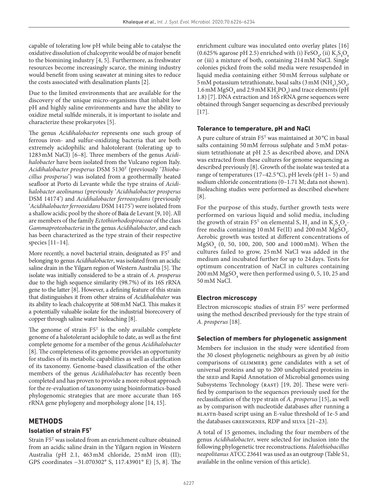capable of tolerating low pH while being able to catalyse the oxidative dissolution of chalcopyrite would be of major benefit to the biomining industry [\[4, 5\]](#page-8-3). Furthermore, as freshwater resources become increasingly scarce, the mining industry would benefit from using seawater at mining sites to reduce the costs associated with desalination plants [\[2\]](#page-8-1).

Due to the limited environments that are available for the discovery of the unique micro-organisms that inhabit low pH and highly saline environments and have the ability to oxidize metal sulfide minerals, it is important to isolate and characterize these prokaryotes [[5\]](#page-8-4).

The genus *[Acidihalobacter](http://doi.org/10.1601/nm.27501)* represents one such group of ferrous iron- and sulfur-oxidizing bacteria that are both extremely acidophilic and halotolerant (tolerating up to 1283mM NaCl) [\[6–8](#page-8-5)]. Three members of the genus *[Acidi](http://doi.org/10.1601/nm.27501)[halobacter](http://doi.org/10.1601/nm.27501)* have been isolated from the Vulcano region Italy. *[Acidihalobacter prosperus](http://doi.org/10.1601/nm.27502)* DSM 5130T (previously '*[Thioba](http://doi.org/10.1601/nm.27624)[cillus prosperus](http://doi.org/10.1601/nm.27624)*') was isolated from a geothermally heated seafloor at Porto di Levante while the type strains of *[Acidi](http://doi.org/10.1601/nm.27501)[halobacter](http://doi.org/10.1601/nm.27501) aeolinanus* (previously '*[Acidihalobacter prosperus](http://doi.org/10.1601/nm.27502)* DSM 14174') and *[Acidihalobacter ferrooxydans](http://doi.org/10.1601/nm.34444)* (previously '*[Acidihalobacter](http://doi.org/10.1601/nm.27501) ferrooxidans* DSM 14175') were isolated from a shallow acidic pool by the shore of [Baia](http://doi.org/10.1601/nm.27528) de Levant [\[9, 10\]](#page-8-6). All are members of the family *[Ectothiorhodospiraceae](http://doi.org/10.1601/nm.2154)* of the class *[Gammaproteobacteria](http://doi.org/10.1601/nm.2068)* in the genus *[Acidihalobacter](http://doi.org/10.1601/nm.27501)*, and each has been characterized as the type strain of their respective species [\[11–14\]](#page-8-7).

More recently, a novel bacterial strain, designated as  $F5<sup>T</sup>$  and belonging to genus *[Acidihalobacter](http://doi.org/10.1601/nm.27501)*, was isolated from an acidic saline drain in the Yilgarn region of Western Australia [\[5\]](#page-8-4). The isolate was initially considered to be a strain of *[A. prosperus](http://doi.org/10.1601/nm.27502)* due to the high sequence similarity (98.7%) of its 16S rRNA gene to the latter [[8](#page-8-8)]. However, a defining feature of this strain that distinguishes it from other strains of *Acidihalobater* was its ability to leach chalcopyrite at 508mM NaCl. This makes it a potentially valuable isolate for the industrial biorecovery of copper through saline water bioleaching [\[8\]](#page-8-8).

The genome of strain  $F5<sup>T</sup>$  is the only available complete genome of a halotolerant acidophile to date, as well as the first complete genome for a member of the genus *[Acidihalobacter](http://doi.org/10.1601/nm.27501)* [[8\]](#page-8-8). The completeness of its genome provides an opportunity for studies of its metabolic capabilities as well as clarification of its taxonomy. Genome-based classification of the other members of the genus *[Acidihalobacter](http://doi.org/10.1601/nm.27501)* has recently been completed and has proven to provide a more robust approach for the re-evaluation of taxonomy using bioinformatics-based phylogenomic strategies that are more accurate than 16S rRNA gene phylogeny and morphology alone [\[14, 15](#page-8-9)].

#### **METHODS**

#### **Isolation of strain F5T**

Strain F5T was isolated from an enrichment culture obtained from an acidic saline drain in the Yilgarn region in Western Australia (pH 2.1, 463mM chloride, 25mM iron (II); GPS coordinates −31.070302° S, 117.43901° E) [\[5, 8\]](#page-8-4). The enrichment culture was inoculated onto overlay plates [[16](#page-8-10)] (0.625% agarose pH 2.5) enriched with (i) FeSO<sub>4</sub>, (ii)  $K_2S_4O_6$ or (iii) a mixture of both, containing 214mM NaCl. Single colonies picked from the solid media were resuspended in liquid media containing either 50mM ferrous sulphate or 5 mM potassium tetrathionate, basal salts (3 mM (NH<sub>4</sub>)<sub>2</sub>SO<sub>4</sub>, 1.6 mM MgSO<sub>4</sub> and 2.9 mM  $KH_2PO_4$ ) and trace elements (pH 1.8) [\[7\]](#page-8-11). DNA extraction and 16S rRNA gene sequences were obtained through Sanger sequencing as described previously [[17](#page-8-12)].

#### **Tolerance to temperature, pH and NaCl**

A pure culture of strain F5T was maintained at 30 °C in basal salts containing 50mM ferrous sulphate and 5mM potassium tetrathionate at pH 2.5 as described above, and DNA was extracted from these cultures for genome sequencing as described previously [[8](#page-8-8)]. Growth of the isolate was tested at a range of temperatures (17–42.5 °C), pH levels (pH 1– 5) and sodium chloride concentrations (0–1.71 M; data not shown). Bioleaching studies were performed as described elsewhere [[8\]](#page-8-8).

For the purpose of this study, further growth tests were performed on various liquid and solid media, including the growth of strain F5<sup>T</sup> on elemental S,  $H_2$  and in  $K_2S_4O_6$ free media containing 10 mM Fe(II) and 200 mM  $MgSO_4$ . Aerobic growth was tested at different concentrations of MgSO4 (0, 50, 100, 200, 500 and 1000 mM). When the cultures failed to grow, 25 mM NaCl was added in the medium and incubated further for up to 24 days. Tests for optimum concentration of NaCl in cultures containing 200 mM  $\text{MgSO}_4$  were then performed using 0, 5, 10, 25 and 50 mM NaCl.

#### **Electron microscopy**

Electron microscopic studies of strain F5T were performed using the method described previously for the type strain of *[A. prosperus](http://doi.org/10.1601/nm.27502)* [[18](#page-8-13)].

#### **Selection of members for phylogenetic assignment**

Members for inclusion in the study were identified from the 30 closest phylogenetic neighbours as given by *ab initio* comparisons of GLIMMER3 gene candidates with a set of universal proteins and up to 200 unduplicated proteins in the seed and Rapid Annotation of Microbial genomes using Subsystems Technology (RAST) [\[19, 20\]](#page-8-14). These were verified by comparison to the sequences previously used for the reclassification of the type strain of *[A. prosperus](http://doi.org/10.1601/nm.27502)* [[15\]](#page-8-15), as well as by comparison with nucleotide databases after running a blastn-based script using an E-value threshold of 1e-5 and the databases greengenes, RDP and silva [\[21–23\]](#page-8-16).

A total of 15 genomes, including the four members of the genus *[Acidihalobacter](http://doi.org/10.1601/nm.27501)*, were selected for inclusion into the following phylogenetic tree reconstructions. *[Halothiobacillus](http://doi.org/10.1601/nm.2192)  [neapolitanus](http://doi.org/10.1601/nm.2192)* ATCC 23641 was used as an outgroup (Table S1, available in the online version of this article).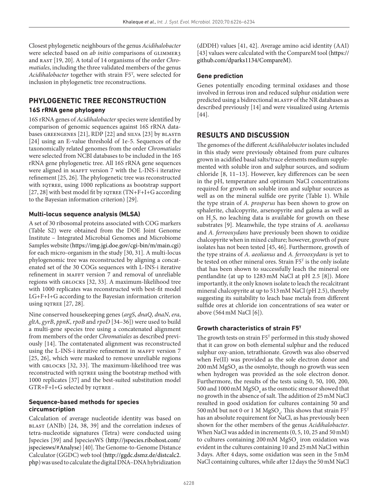Closest phylogenetic neighbours of the genus *[Acidihalobacter](http://doi.org/10.1601/nm.27501)* were selected based on *ab initio* comparisons of GLIMMER3 and RAST [\[19, 20\]](#page-8-14). A total of 14 organisms of the order *[Chro](http://doi.org/10.1601/nm.2069)[matiales](http://doi.org/10.1601/nm.2069)*, including the three validated members of the genus *[Acidihalobacter](http://doi.org/10.1601/nm.27501)* together with strain F5T , were selected for inclusion in phylogenetic tree reconstructions.

# **PHYLOGENETIC TREE RECONSTRUCTION**

#### **16S rRNA gene phylogeny**

16S rRNA genes of *[Acidihalobacter](http://doi.org/10.1601/nm.27501)* species were identified by comparison of genomic sequences against 16S rRNA databases greengenes [[21\]](#page-8-16), RDP [\[22\]](#page-9-0) and silva [[23\]](#page-9-1) by blastn [[24\]](#page-9-2) using an E-value threshold of 1e-5. Sequences of the taxonomically related genomes from the order *[Chromatiales](http://doi.org/10.1601/nm.2069)* were selected from NCBI databases to be included in the 16S rRNA gene phylogenetic tree. All 16S rRNA gene sequences were aligned in MAFFT version 7 with the L-INS-i iterative refinement [\[25, 26\]](#page-9-3). The phylogenetic tree was reconstructed with IQTREE, using 1000 replications as bootstrap support [[27, 28](#page-9-4)] with best model fit by  $IQTREE (TN+F+I+G$  according to the Bayesian information criterion) [[29](#page-9-5)].

#### **Multi-locus sequence analysis (MLSA)**

A set of 30 ribosomal proteins associated with COG markers (Table S2) were obtained from the DOE Joint Genome Institute – Integrated Microbial Genomes and Microbiome Samples website ([https://img.jgi.doe.gov/cgi-bin/m/main.cgi\)](https://img.jgi.doe.gov/cgi-bin/m/main.cgi) for each micro-organism in the study [[30, 31](#page-9-6)]. A multi-locus phylogenomic tree was reconstructed by aligning a concatenated set of the 30 COGs sequences with L-INS-i iterative refinement in MAFFT version 7 and removal of unreliable regions with gblocks [[32, 33\]](#page-9-7). A maximum-likelihood tree with 1000 replicates was reconstructed with best-fit model LG+F+I+G according to the Bayesian information criterion using  $IQTREE$  [[27, 28\]](#page-9-4).

Nine conserved housekeeping genes (*argS*, *dnaQ*, *dnaN*, *era*, *gltA*, *gyrB*, *ppnK*, *rpoB* and *rpoD* [[34–36](#page-9-8)]) were used to build a multi-gene species tree using a concatenated alignment from members of the order *[Chromatiales](http://doi.org/10.1601/nm.2069)* as described previously [\[14](#page-8-9)]. The contatenated alignment was reconstructed using the L-INS-i iterative refinement in MAFFT version 7 [[25, 26\]](#page-9-3), which were masked to remove unreliable regions with GBLOCKS [[32, 33\]](#page-9-7). The maximum-likelihood tree was reconstructed with IQTREE using the bootstrap method with 1000 replicates [[37\]](#page-9-9) and the best-suited substitution model GTR+F+I+G selected by IQTREE.

#### **Sequence-based methods for species circumscription**

Calculation of average nucleotide identity was based on blast (ANIb) [\[24, 38, 39](#page-9-2)] and the correlation indexes of tetra-nucleotide signatures (Tetra) were conducted using Jspecies [\[39](#page-9-10)] and JspeciesWS ([http://jspecies.ribohost.com/](http://jspecies.ribohost.com/jspeciesws/#Analyse) [jspeciesws/#Analyse\)](http://jspecies.ribohost.com/jspeciesws/#Analyse) [[40\]](#page-9-11). The Genome-to-Genome Distance Calculator (GGDC) web tool [\(http://ggdc.dsmz.de/distcalc2.](http://ggdc.dsmz.de/distcalc2.php) [php\)](http://ggdc.dsmz.de/distcalc2.php) was used to calculate the digital DNA–DNA hybridization

(dDDH) values [\[41, 42](#page-9-12)]. Average amino acid identity (AAI) [[43\]](#page-9-13) values were calculated with the CompareM tool [\(https://](https://github.com/dparks1134/CompareM) [github.com/dparks1134/CompareM\)](https://github.com/dparks1134/CompareM).

#### **Gene prediction**

Genes potentially encoding terminal oxidases and those involved in ferrous iron and reduced sulphur oxidation were predicted using a bidirectional BLASTP of the NR databases as described previously [\[14\]](#page-8-9) and were visualized using Artemis [[44\]](#page-9-14).

# **RESULTS AND DISCUSSION**

The genomes of the different *[Acidihalobacter](http://doi.org/10.1601/nm.27501)* isolates included in this study were previously obtained from pure cultures grown in acidified basal salts/trace elements medium supplemented with soluble iron and sulphur sources, and sodium chloride [[8, 11–13](#page-8-8)]. However, key differences can be seen in the pH, temperature and optimum NaCl concentrations required for growth on soluble iron and sulphur sources as well as on the mineral sulfide ore pyrite ([Table 1\)](#page-4-0). While the type strain of *[A. prosperus](http://doi.org/10.1601/nm.27502)* has been shown to grow on sphalerite, chalcopyrite, arsenopyrite and galena as well as on  $H_2$ S, no leaching data is available for growth on these substrates [\[9](#page-8-6)]. Meanwhile, the type strains of *[A. aeolianus](http://doi.org/10.1601/nm.34443)* and *[A. ferrooxydans](http://doi.org/10.1601/nm.34444)* have previously been shown to oxidize chalcopyrite when in mixed culture; however, growth of pure isolates has not been tested [[45, 46](#page-9-15)]. Furthermore, growth of the type strains of *[A. aeolianus](http://doi.org/10.1601/nm.34443)* and *[A. ferrooxydans](http://doi.org/10.1601/nm.34444)* is yet to be tested on other mineral ores. Strain F5T is the only isolate that has been shown to successfully leach the mineral ore pentlandite (at up to 1283mM NaCl at pH 2.5 [[8\]](#page-8-8)). More importantly, it the only known isolate to leach the recalcitrant mineral chalcopyrite at up to 513mM NaCl (pH 2.5), thereby suggesting its suitability to leach base metals from different sulfide ores at chloride ion concentrations of sea water or above (564mM NaCl [[6\]](#page-8-5)).

#### **Growth characteristics of strain F5T**

The growth tests on strain F5<sup>T</sup> performed in this study showed that it can grow on both elemental sulphur and the reduced sulphur oxy-anion, tetrathionate. Growth was also observed when Fe(II) was provided as the sole electron donor and  $200\,\mathrm{mM\,MgSO}_4$  as the osmolyte, though no growth was seen when hydrogen was provided as the sole electron donor. Furthermore, the results of the tests using 0, 50, 100, 200,  $500$  and  $1000\,\mathrm{mM\,MgSO}_4$  as the osmotic stressor showed that no growth in the absence of salt. The addition of 25mM NaCl resulted in good oxidation for cultures containing 50 and 500 mM but not 0 or 1 M MgSO<sub>4</sub>. This shows that strain  $F5^T$ has an absolute requirement for NaCl, as has previously been shown for the other members of the genus *[Acidihalobacter](http://doi.org/10.1601/nm.27501)*. When NaCl was added in increments (0, 5, 10, 25 and 50mM) to cultures containing  $200 \text{ mM MgSO}_4$  iron oxidation was evident in the cultures containing 10 and 25mM NaCl within 3days. After 4days, some oxidation was seen in the 5mM NaCl containing cultures, while after 12days the 50mM NaCl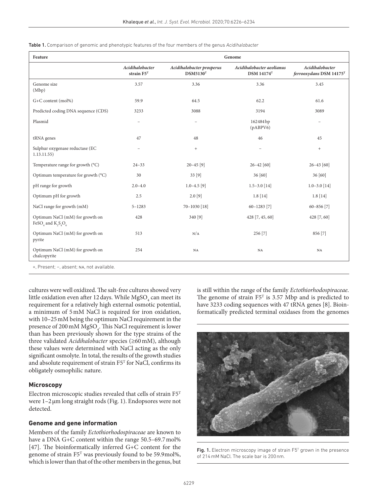<span id="page-4-0"></span>Table 1. Comparison of genomic and phenotypic features of the four members of the genus *[Acidihalobacter](http://doi.org/10.1601/nm.27501)*

| Feature                                                              | Genome                           |                                                   |                                                |                                            |
|----------------------------------------------------------------------|----------------------------------|---------------------------------------------------|------------------------------------------------|--------------------------------------------|
|                                                                      | Acidihalobacter<br>strain $F5^T$ | Acidihalobacter prosperus<br>DSM5130 <sup>T</sup> | Acidihalobacter aeolianus<br><b>DSM 14174T</b> | Acidihalobacter<br>ferrooxydans DSM 14175T |
| Genome size<br>(Mbp)                                                 | 3.57                             | 3.36                                              | 3.36                                           | 3.45                                       |
| G+C content (mol%)                                                   | 59.9                             | 64.5                                              | 62.2                                           | 61.6                                       |
| Predicted coding DNA sequence (CDS)                                  | 3233                             | 3088                                              | 3194                                           | 3089                                       |
| Plasmid                                                              | $\equiv$                         |                                                   | 162484 bp<br>(pABPV6)                          |                                            |
| tRNA genes                                                           | 47                               | 48                                                | 46                                             | 45                                         |
| Sulphur oxygenase reductase (EC<br>1.13.11.55)                       |                                  | $+$                                               |                                                | $+$                                        |
| Temperature range for growth (°C)                                    | $24 - 33$                        | $20 - 45$ [9]                                     | $26 - 42$ [60]                                 | $26 - 43$ [60]                             |
| Optimum temperature for growth (°C)                                  | 30                               | 33 [9]                                            | 36 [60]                                        | 36 [60]                                    |
| pH range for growth                                                  | $2.0 - 4.0$                      | $1.0 - 4.5$ [9]                                   | $1.5 - 3.0$ [14]                               | $1.0 - 3.0$ [14]                           |
| Optimum pH for growth                                                | 2.5                              | $2.0$ [9]                                         | 1.8[14]                                        | 1.8[14]                                    |
| NaCl range for growth (mM)                                           | $5 - 1283$                       | 70-1030 [18]                                      | $60 - 1283$ [7]                                | $60 - 856$ [7]                             |
| Optimum NaCl (mM) for growth on<br>FeSO <sub>4</sub> and $K_2S_4O_6$ | 428                              | 340 [9]                                           | 428 [7, 45, 60]                                | 428 [7, 60]                                |
| Optimum NaCl (mM) for growth on<br>pyrite                            | 513                              | N/A                                               | 256 [7]                                        | 856 [7]                                    |
| Optimum NaCl (mM) for growth on<br>chalcopyrite                      | 254                              | $_{\rm NA}$                                       | $_{\rm NA}$                                    | $_{\rm NA}$                                |
| +, Present; -, absent; NA, not available.                            |                                  |                                                   |                                                |                                            |

cultures were well oxidized. The salt-free cultures showed very little oxidation even after 12 days. While  $MgSO<sub>4</sub>$  can meet its requirement for a relatively high external osmotic potential, a minimum of 5mM NaCl is required for iron oxidation, with 10–25mM being the optimum NaCl requirement in the presence of 200 mM MgSO<sub>4</sub>. This NaCl requirement is lower than has been previously shown for the type strains of the three validated *[Acidihalobacter](http://doi.org/10.1601/nm.27501)* species (≥60mM), although these values were determined with NaCl acting as the only significant osmolyte. In total, the results of the growth studies and absolute requirement of strain F5T for NaCl, confirms its obligately osmophilic nature.

#### **Microscopy**

Electron microscopic studies revealed that cells of strain F5T were 1–2µm long straight rods [\(Fig. 1](#page-4-1)). Endopsores were not detected.

#### **Genome and gene information**

Members of the family *[Ectothiorhodospiraceae](http://doi.org/10.1601/nm.2154)* are known to have a DNA G+C content within the range 50.5-69.7 mol% [[47\]](#page-9-16). The bioinformatically inferred G+C content for the genome of strain F5T was previously found to be 59.9mol%, which is lower than that of the other members in the genus, but

is still within the range of the family *[Ectothiorhodospiraceae](http://doi.org/10.1601/nm.2154)*. The genome of strain  $F5<sup>T</sup>$  is 3.57 Mbp and is predicted to have 3233 coding sequences with 47 tRNA genes [[8\]](#page-8-8). Bioinformatically predicted terminal oxidases from the genomes

<span id="page-4-1"></span>

Fig. 1. Electron microscopy image of strain  $F5<sup>T</sup>$  grown in the presence of 214mM NaCl. The scale bar is 200nm.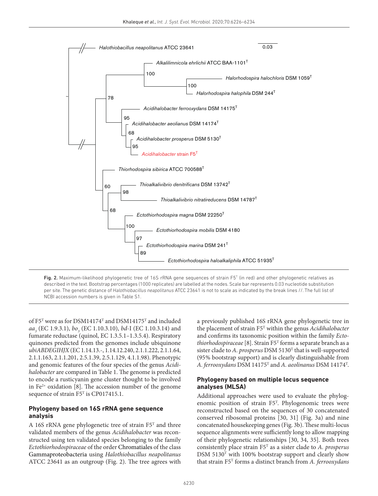

<span id="page-5-0"></span>Fig. 2. Maximum-likelihood phylogenetic tree of 16S rRNA gene sequences of strain F5<sup>T</sup> (in red) and other phylogenetic relatives as described in the text. Bootstrap percentages (1000 replicates) are labelled at the nodes. Scale bar represents 0.03 nucleotide substitution per site. The genetic distance of *[Halothiobacillus neapolitanus](http://doi.org/10.1601/nm.2192)* ATCC 23641 is not to scale as indicated by the break lines //. The full list of NCBI accession numbers is given in Table S1.

of F5T were as for DSM14174T and DSM14175T and included *aa3* (EC 1.9.3.1), *bo3* (EC 1.10.3.10), *bd*-I (EC 1.10.3.14) and fumarate reductase (quinol, EC 1.3.5.1–1.3.5.4). Respiratory quinones predicted from the genomes include ubiquinone *ubiABDEGIHJX* (EC 1.14.13.-, 1.14.12.240, 2.1.1.222, 2.1.1.64, 2.1.1.163, 2.1.1.201, 2.5.1.39, 2.5.1.129, 4.1.1.98). Phenotypic and genomic features of the four species of the genus *[Acidi](http://doi.org/10.1601/nm.27501)[halobacter](http://doi.org/10.1601/nm.27501)* are compared in [Table 1](#page-4-0). The genome is predicted to encode a rusticyanin gene cluster thought to be involved in  $Fe<sup>2+</sup>$  oxidation [[8](#page-8-8)]. The accession number of the genome sequence of strain F5<sup>T</sup> is CP017415.1.

#### **Phylogeny based on 16S rRNA gene sequence analysis**

A 16S rRNA gene phylogenetic tree of strain F5T and three validated members of the genus *[Acidihalobacter](http://doi.org/10.1601/nm.27501)* was reconstructed using ten validated species belonging to the family *[Ectothiorhodospiraceae](http://doi.org/10.1601/nm.2154)* of the order [Chromatiales](http://doi.org/10.1601/nm.2069) of the class [Gammaproteobacteria](http://doi.org/10.1601/nm.2068) using *[Halothiobacillus neapolitanus](http://doi.org/10.1601/nm.2192)* ATCC 23641 as an outgroup ([Fig. 2](#page-5-0)). The tree agrees with

a previously published 16S rRNA gene phylogenetic tree in the placement of strain F5T within the genus *[Acidihalobacter](http://doi.org/10.1601/nm.27501)* and confirms its taxonomic position within the family *[Ecto](http://doi.org/10.1601/nm.2154)[thiorhodospiraceae](http://doi.org/10.1601/nm.2154)* [\[8](#page-8-8)]. Strain F5T forms a separate branch as a sister clade to *[A. prosperus](http://doi.org/10.1601/nm.27502)* DSM 5130<sup>T</sup> that is well-supported (95% bootstrap support) and is clearly distinguishable from *[A. ferrooxydans](http://doi.org/10.1601/nm.34444)* DSM 14175T and *A. aeolinanus* DSM 14174T .

#### **Phylogeny based on multiple locus sequence analyses (MLSA)**

Additional approaches were used to evaluate the phylogenomic position of strain F5T . Phylogenomic trees were reconstructed based on the sequences of 30 concatenated conserved ribosomal proteins [\[30, 31\]](#page-9-6) [\(Fig. 3a\)](#page-6-0) and nine concatenated housekeeping genes ([Fig. 3b\)](#page-6-0). These multi-locus sequence alignments were sufficiently long to allow mapping of their phylogenetic relationships [\[30, 34, 35\]](#page-9-6). Both trees consistently place strain F5T as a sister clade to *[A. prosperus](http://doi.org/10.1601/nm.27502)* DSM 5130<sup>T</sup> with 100% bootstrap support and clearly show that strain F5T forms a distinct branch from *[A. ferrooxydans](http://doi.org/10.1601/nm.34444)*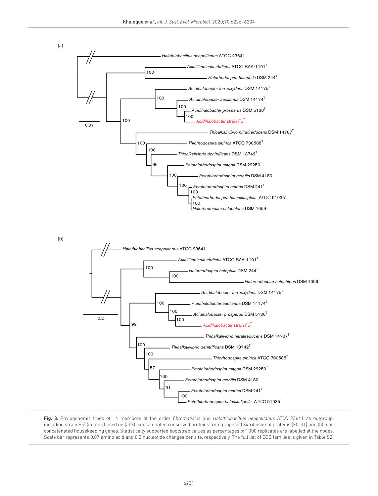

<span id="page-6-0"></span>Fig. 3. Phylogenomic trees of 14 members of the order *[Chromatiales](http://doi.org/10.1601/nm.2069)* and *[Halothiobacillus neapolitanus](http://doi.org/10.1601/nm.2192)* ATCC 23641 as outgroup, including strain F5T (in red), based on (a) 30 concatenated conserved proteins from proposed 34 ribosomal proteins [[30, 31](#page-9-6)] and (b) nine concatenated housekeeping genes. Statistically supported bootstrap values as percentages of 1000 replicates are labelled at the nodes. Scale bar represents 0.07 amino acid and 0.2 nucleotide changes per site, respectively. The full list of COG families is given in Table S2.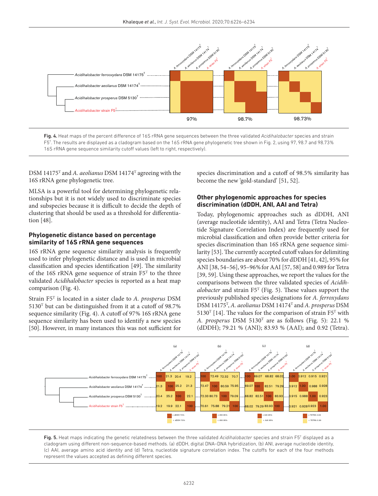

<span id="page-7-0"></span>

DSM 14175T and *[A. aeolianus](http://doi.org/10.1601/nm.34443)* DSM 14174T agreeing with the 16S rRNA gene phylogenetic tree.

MLSA is a powerful tool for determining phylogenetic relationships but it is not widely used to discriminate species and subspecies because it is difficult to decide the depth of clustering that should be used as a threshold for differentiation [\[48\]](#page-9-18).

#### **Phylogenetic distance based on percentage similarity of 16S rRNA gene sequences**

16S rRNA gene sequence similarity analysis is frequently used to infer phylogenetic distance and is used in microbial classification and species identification [[49](#page-9-19)]. The similarity of the 16S rRNA gene sequence of strain F5T to the three validated *[Acidihalobacter](http://doi.org/10.1601/nm.27501)* species is reported as a heat map comparison ([Fig. 4\)](#page-7-0).

Strain F5T is located in a sister clade to *[A. prosperus](http://doi.org/10.1601/nm.27502)* DSM 5130T but can be distinguished from it at a cutoff of 98.7% sequence similarity [\(Fig. 4](#page-7-0)). A cutoff of 97% 16S rRNA gene sequence similarity has been used to identify a new species [[50](#page-9-20)]. However, in many instances this was not sufficient for

species discrimination and a cutoff of 98.5% similarity has become the new 'gold-standard' [[51, 52](#page-9-21)].

#### **Other phylogenomic approaches for species discrimination (dDDH, ANI, AAI and Tetra)**

Today, phylogenomic approaches such as dDDH, ANI (average nucleotide identity), AAI and Tetra (Tetra Nucleotide Signature Correlation Index) are frequently used for microbial classification and often provide better criteria for species discrimination than 16S rRNA gene sequence similarity [\[53\]](#page-9-22). The currently accepted cutoff values for delimiting species boundaries are about 70% for dDDH [[41, 42\]](#page-9-12), 95% for ANI [\[38, 54–56](#page-9-23)], 95–96%for AAI [[57, 58\]](#page-9-24) and 0.989 for Tetra [[39, 59](#page-9-10)]. Using these approaches, we report the values for the comparisons between the three validated species of *[Acidih](http://doi.org/10.1601/nm.27501)[alobacter](http://doi.org/10.1601/nm.27501)* and strain F5T [\(Fig. 5\)](#page-7-1). These values support the previously published species designations for *A. ferroxydans* DSM 14175T , *[A. aeolianus](http://doi.org/10.1601/nm.34443)* DSM 14174T and *[A. prosperus](http://doi.org/10.1601/nm.27502)* DSM 5130<sup>T</sup> [\[14\]](#page-8-9). The values for the comparison of strain  $F5<sup>T</sup>$  with *[A. prosperus](http://doi.org/10.1601/nm.27502)* DSM 5130T are as follows [\(Fig. 5\)](#page-7-1): 22.1 % (dDDH); 79.21 % (ANI); 83.93 % (AAI); and 0.92 (Tetra).



<span id="page-7-1"></span>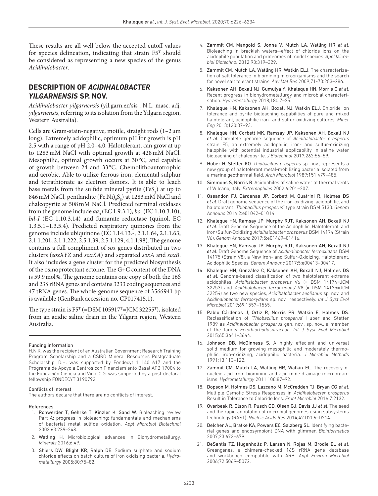These results are all well below the accepted cutoff values for species delineation, indicating that strain  $F5<sup>T</sup>$  should be considered as representing a new species of the genus *[Acidihalobacter](http://doi.org/10.1601/nm.27501)*.

#### **DESCRIPTION OF** *[ACIDIHALOBACTER](http://doi.org/10.1601/nm.27501)  YILGARNENSIS* **SP. NOV.**

*[Acidihalobacter](http://doi.org/10.1601/nm.27501) yilgarnensis* (yil.garn.en′sis . N.L. masc. adj. *yilgarnensis*, referring to its isolation from the Yilgarn region, Western Australia).

Cells are Gram-stain-negative, motile, straight rods (1–2µm long). Extremely acidophilic, optimum pH for growth is pH 2.5 with a range of pH 2.0–4.0. Halotolerant, can grow at up to 1283mM NaCl with optimal growth at 428mM NaCl. Mesophilic, optimal growth occurs at 30 °C, and capable of growth between 24 and 33 °C. Chemolithoautotrophic and aerobic. Able to utilize ferrous iron, elemental sulphur and tetrathionate as electron donors. It is able to leach base metals from the sulfide mineral pyrite  $(Fes_2)$  at up to 846 mM NaCl, pentlandite  $(Fe, Ni)_9S_8$  at 1283 mM NaCl and chalcopyrite at 508mM NaCl. Predicted terminal oxidases from the genome include  $aa_3$  (EC 1.9.3.1),  $bo_3$  (EC 1.10.3.10), *bd*-*I* (EC 1.10.3.14) and fumarate reductase (quinol, EC 1.3.5.1–1.3.5.4). Predicted respiratory quinones from the genome include ubiquinone (EC 1.14.13.-, 2.1.1.64, 2.1.1.63, 2.1.1.201, 2.1.1.222, 2.5.1.39, 2.5.1.129, 4.1.1.98). The genome contains a full compliment of *sox* genes distributed in two clusters (*soxXYZ* and *soxXA*) and separated *soxA* and *soxB*. It also includes a gene cluster for the predicted biosynthesis of the osmoprotectant ectoine. The G+C content of the DNA is 59.9mol%. The genome contains one copy of both the 16S and 23S rRNA genes and contains 3233 coding sequences and 47 tRNA genes. The whole-genome sequence of 3566941 bp is available (GenBank accession no. CP017415.1).

The type strain is  $F5^T$  (=DSM 105917<sup>T</sup>=JCM 32255<sup>T</sup>), isolated from an acidic saline drain in the Yilgarn region, Western Australia.

#### Funding information

H.N.K. was the recipient of an Australian Government Research Training Program Scholarship and a CSIRO Mineral Resources Postgraduate Scholarship. D.H. was supported by Fondecyt 1 140 617 and the Programa de Apoyo a Centros con Financiamiento Basal AFB 17004 to the Fundación Ciencia and Vida. C.G. was supported by a post-doctoral fellowship FONDECYT 3190792.

#### Conflicts of interest

The authors declare that there are no conflicts of interest.

#### References

- <span id="page-8-0"></span>1. Rohwerder T, Gehrke T, Kinzler K, Sand W. Bioleaching review Part A: progress in bioleaching: fundamentals and mechanisms of bacterial metal sulfide oxidation. *Appl Microbiol Biotechnol* 2003;63:239–248.
- <span id="page-8-1"></span>2. Watling H. Microbiological advances in Biohydrometallurgy. *Minerals* 2016;6:49.
- <span id="page-8-2"></span>3. Shiers DW, Blight KR, Ralph DE. Sodium sulphate and sodium chloride effects on batch culture of iron oxidising bacteria. *Hydrometallurgy* 2005;80:75–82.
- <span id="page-8-3"></span>4. Zammit CM, Mangold S, Jonna V, Mutch LA, Watling HR *et al*. Bioleaching in brackish waters--effect of chloride ions on the acidophile population and proteomes of model species. *Appl Microbiol Biotechnol* 2012;93:319–329.
- <span id="page-8-4"></span>5. Zammit CM, Mutch LA, Watling HR, Watkin ELJ. The characterization of salt tolerance in biomining microorganisms and the search for novel salt tolerant strains. *Adv Mat Res* 2009;71-73:283–286.
- <span id="page-8-5"></span>6. Kaksonen AH, Boxall NJ, Gumulya Y, Khaleque HN, Morris C *et al*. Recent progress in biohydrometallurgy and microbial characterisation. *Hydrometallurgy* 2018;180:7–25.
- <span id="page-8-11"></span>7. Khaleque HN, Kaksonen AH, Boxall NJ, Watkin ELJ. Chloride ion tolerance and pyrite bioleaching capabilities of pure and mixed halotolerant, acidophilic iron- and sulfur-oxidizing cultures. *Miner Eng* 2018;120:87–93.
- <span id="page-8-8"></span>8. Khaleque HN, Corbett MK, Ramsay JP, Kaksonen AH, Boxall NJ *et al*. Complete genome sequence of *Acidihalobacter prosperus* strain F5, an extremely acidophilic, iron- and sulfur-oxidizing halophile with potential industrial applicability in saline water bioleaching of chalcopyrite. *J Biotechnol* 2017;262:56–59.
- <span id="page-8-6"></span>9. Huber H, Stetter KO. *Thiobacillus prosperus* sp. nov., represents a new group of halotolerant metal-mobilizing bacteria isolated from a marine geothermal field. *Arch Microbiol* 1989;151:479–485.
- 10. Simmons S, Norris R. Acidophiles of saline water at thermal vents of Vulcano, Italy. *Extremophiles* 2002;6:201–207.
- <span id="page-8-7"></span>11. Ossandon FJ, Cárdenas JP, Corbett M, Quatrini R, Holmes DS *et al*. Draft genome sequence of the iron-oxidizing, acidophilic, and halotolerant *"Thiobacillus prosperus*" type strain DSM 5130. *Genom Announc* 2014;2:e01042–01014.
- 12. Khaleque HN, Ramsay JP, Murphy RJT, Kaksonen AH, Boxall NJ *et al*. Draft Genome Sequence of the Acidophilic, Halotolerant, and Iron/Sulfur-Oxidizing *Acidihalobacter prosperus* DSM 14174 (Strain V6). *Genom Announc* 2017;5:e01469–01416.
- 13. Khaleque HN, Ramsay JP, Murphy RJT, Kaksonen AH, Boxall NJ *et al*. Draft Genome Sequence of *Acidihalobacter ferrooxidans* DSM 14175 (Strain V8), a New Iron- and Sulfur-Oxidizing, Halotolerant, Acidophilic Species. *Genom Announc* 2017;5:e00413–00417.
- <span id="page-8-9"></span>14. Khaleque HN, González C, Kaksonen AH, Boxall NJ, Holmes DS *et al*. Genome-based classification of two halotolerant extreme acidophiles, *Acidihalobacter prosperus* V6 (= DSM 14174=JCM 32253) and *'Acidihalobacter ferrooxidans*' V8 (= DSM 14175=JCM 32254) as two new species, *Acidihalobacter aeolianus* sp. nov. and *Acidihalobacter ferrooxydans* sp. nov., respectively. *Int J Syst Evol Microbiol* 2019;69:1557–1565.
- <span id="page-8-15"></span>15. Pablo Cárdenas J, Ortiz R, Norris PR, Watkin E, Holmes DS. Reclassification of *'Thiobacillus prosperus*' Huber and Stetter 1989 as *Acidihalobacter prosperus* gen. nov., sp. nov., a member of the family *Ectothiorhodospiraceae*. *Int J Syst Evol Microbiol* 2015;65:3641–3644.
- <span id="page-8-10"></span>16. Johnson DB, McGinness S. A highly effecient and universal solid medium for growing mesophilic and moderately thermophilic, iron-oxidizing, acidophilic bacteria. *J Microbiol Methods* 1991;13:113–122.
- <span id="page-8-12"></span>17. Zammit CM, Mutch LA, Watling HR, Watkin EL. The recovery of nucleic acid from biomining and acid mine drainage microorganisms. *Hydrometallurgy* 2011;108:87–92.
- <span id="page-8-13"></span>18. Dopson M, Holmes DS, Lazcano M, McCredden TJ, Bryan CG *et al*. Multiple Osmotic Stress Responses in *Acidihalobacter prosperus* Result in Tolerance to Chloride Ions. *Front Microbiol* 2016;7:2132.
- <span id="page-8-14"></span>19. Overbeek R, Olson R, Pusch GD, Olsen GJ, Davis JJ *et al*. The seed and the rapid annotation of microbial genomes using subsystems technology (RAST). *Nucleic Acids Res* 2014;42:D206–D214.
- 20. Delcher AL, Bratke KA, Powers EC, Salzberg SL. Identifying bacterial genes and endosymbiont DNA with glimmer. *Bioinformatics* 2007;23:673–679.
- <span id="page-8-16"></span>21. DeSantis TZ, Hugenholtz P, Larsen N, Rojas M, Brodie EL *et al*. Greengenes, a chimera-checked 16S rRNA gene database and workbench compatible with ARB. *Appl Environ Microbiol* 2006;72:5069–5072.